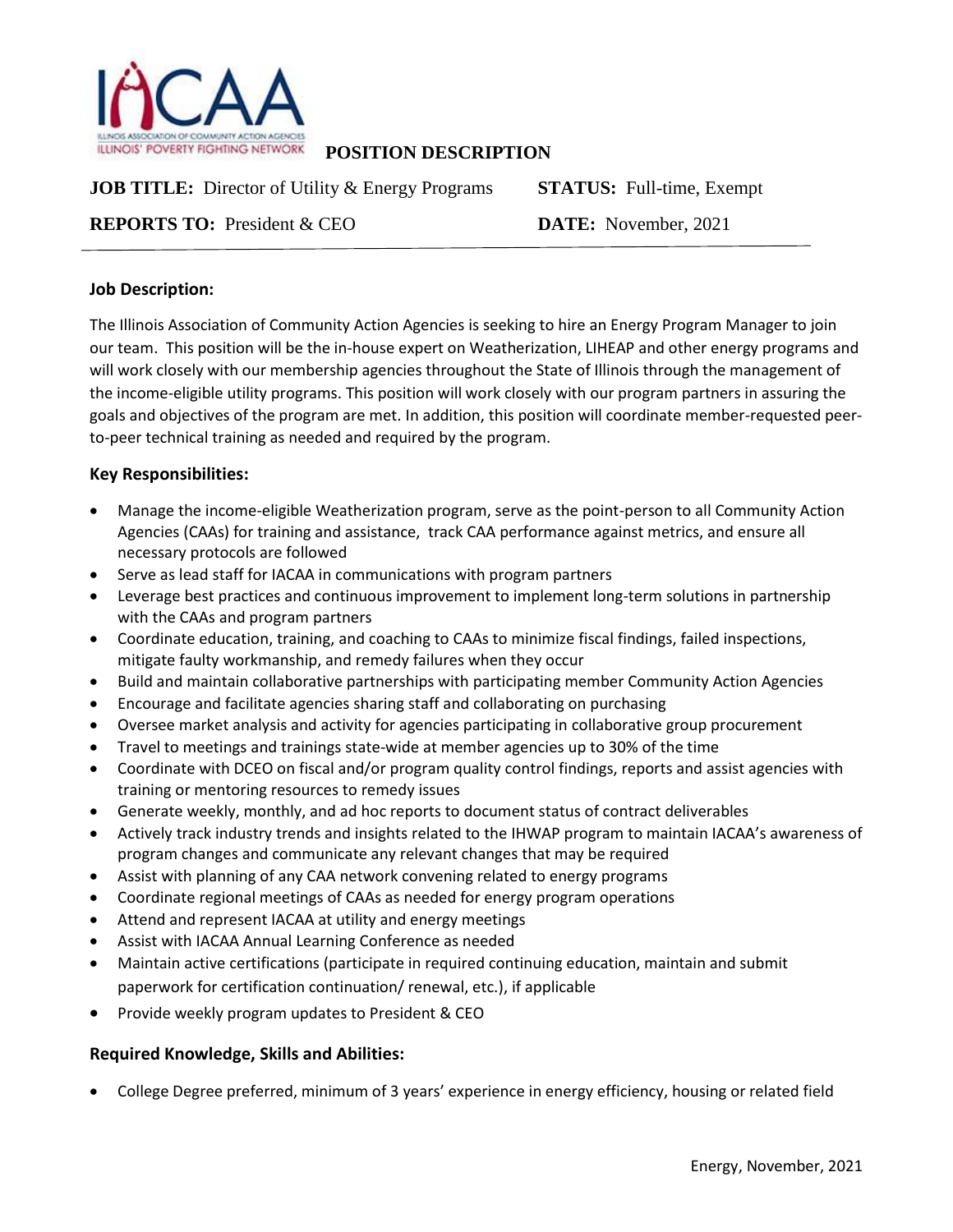

**POSITION DESCRIPTION**

**JOB TITLE:** Director of Utility & Energy Programs **STATUS:** Full-time, Exempt

**REPORTS TO:** President & CEO **DATE:** November, 2021

# **Job Description:**

The Illinois Association of Community Action Agencies is seeking to hire an Energy Program Manager to join our team. This position will be the in-house expert on Weatherization, LIHEAP and other energy programs and will work closely with our membership agencies throughout the State of Illinois through the management of the income-eligible utility programs. This position will work closely with our program partners in assuring the goals and objectives of the program are met. In addition, this position will coordinate member-requested peerto-peer technical training as needed and required by the program.

# **Key Responsibilities:**

- Manage the income-eligible Weatherization program, serve as the point-person to all Community Action Agencies (CAAs) for training and assistance, track CAA performance against metrics, and ensure all necessary protocols are followed
- Serve as lead staff for IACAA in communications with program partners
- Leverage best practices and continuous improvement to implement long-term solutions in partnership with the CAAs and program partners
- Coordinate education, training, and coaching to CAAs to minimize fiscal findings, failed inspections, mitigate faulty workmanship, and remedy failures when they occur
- Build and maintain collaborative partnerships with participating member Community Action Agencies
- Encourage and facilitate agencies sharing staff and collaborating on purchasing
- Oversee market analysis and activity for agencies participating in collaborative group procurement
- Travel to meetings and trainings state-wide at member agencies up to 30% of the time
- Coordinate with DCEO on fiscal and/or program quality control findings, reports and assist agencies with training or mentoring resources to remedy issues
- Generate weekly, monthly, and ad hoc reports to document status of contract deliverables
- Actively track industry trends and insights related to the IHWAP program to maintain IACAA's awareness of program changes and communicate any relevant changes that may be required
- Assist with planning of any CAA network convening related to energy programs
- Coordinate regional meetings of CAAs as needed for energy program operations
- Attend and represent IACAA at utility and energy meetings
- Assist with IACAA Annual Learning Conference as needed
- Maintain active certifications (participate in required continuing education, maintain and submit paperwork for certification continuation/ renewal, etc.), if applicable
- Provide weekly program updates to President & CEO

### **Required Knowledge, Skills and Abilities:**

College Degree preferred, minimum of 3 years' experience in energy efficiency, housing or related field